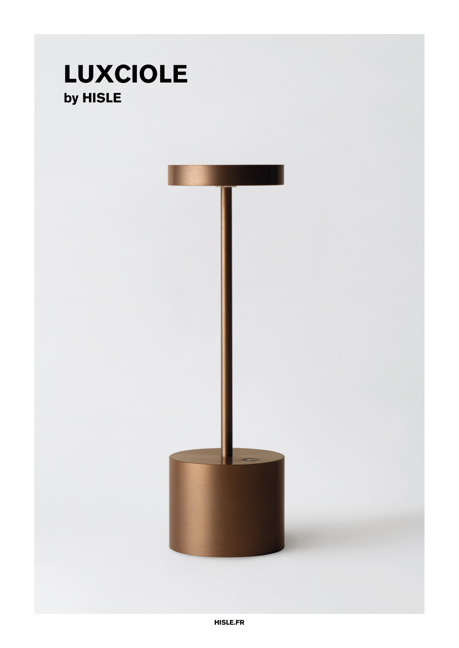## **LUXCIOLE** by HISLE

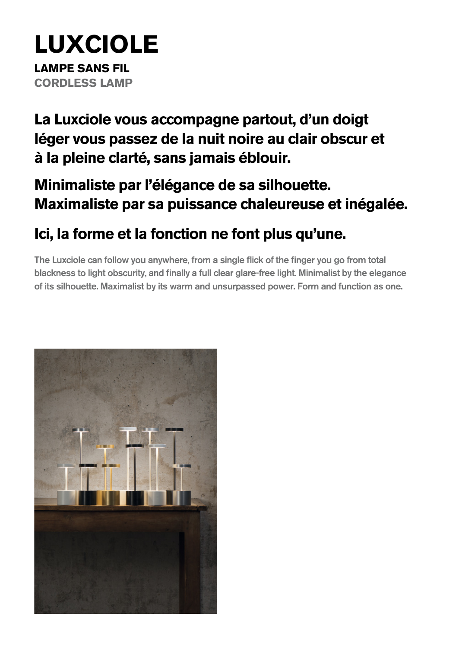# **LUXCIOLE**

**LAMPE SANS FIL CORDLESS LAMP**

**La Luxciole vous accompagne partout, d'un doigt léger vous passez de la nuit noire au clair obscur et à la pleine clarté, sans jamais éblouir.** 

### **Minimaliste par l'élégance de sa silhouette. Maximaliste par sa puissance chaleureuse et inégalée.**

### **Ici, la forme et la fonction ne font plus qu'une.**

The Luxciole can follow you anywhere, from a single flick of the finger you go from total blackness to light obscurity, and finally a full clear glare-free light. Minimalist by the elegance of its silhouette. Maximalist by its warm and unsurpassed power. Form and function as one.

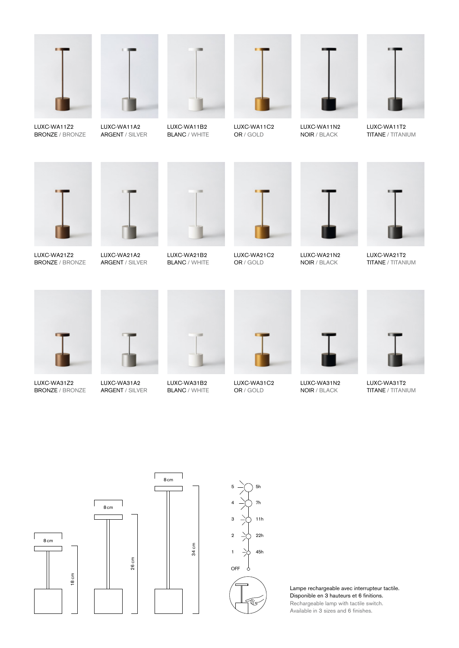

LUXC-WA11Z2 BRONZE / BRONZE



LUXC-WA11A2 ARGENT / SILVER



LUXC-WA11B2 BLANC / WHITE



LUXC-WA11C2 OR / GOLD



LUXC-WA11N2 NOIR / BLACK



LUXC-WA11T2 TITANE / TITANIUM



LUXC-WA21Z2 BRONZE / BRONZE



ARGENT / SILVER



LUXC-WA21B2 BLANC / WHITE





LUXC-WA21N2 NOIR / BLACK



LUXC-WA21T2 TITANE / TITANIUM



LUXC-WA31Z2 BRONZE / BRONZE



LUXC-WA31A2 ARGENT / SILVER



LUXC-WA31B2 **BLANC / WHITE** 

34 cm



OR / GOLD

LUXC-WA31C2



LUXC-WA31N2 NOIR / BLACK



LUXC-WA31T2 TITANE / TITANIUM







Lampe rechargeable avec interrupteur tactile. Disponible en 3 hauteurs et 6 finitions. Rechargeable lamp with tactile switch. Available in 3 sizes and 6 finishes.